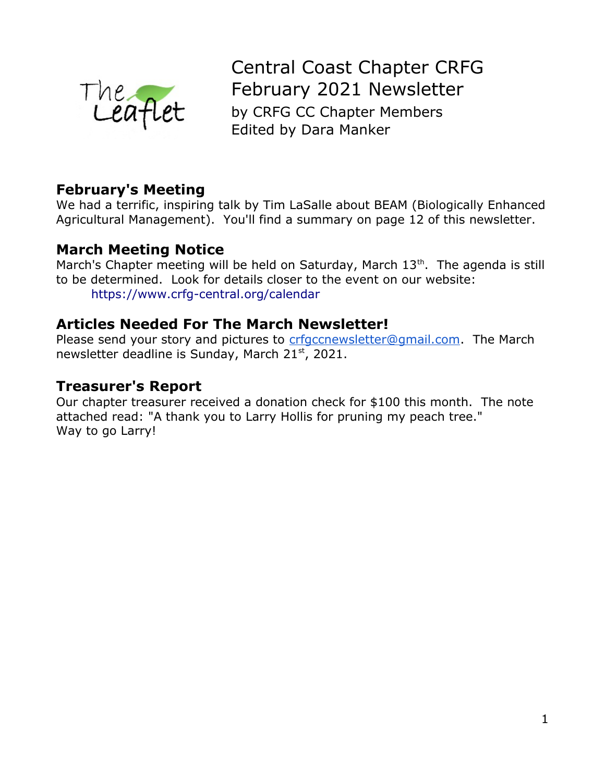

Central Coast Chapter CRFG February 2021 Newsletter by CRFG CC Chapter Members Edited by Dara Manker

## **February's Meeting**

We had a terrific, inspiring talk by Tim LaSalle about BEAM (Biologically Enhanced Agricultural Management). You'll find a summary on page 12 of this newsletter.

### **March Meeting Notice**

March's Chapter meeting will be held on Saturday, March  $13<sup>th</sup>$ . The agenda is still to be determined. Look for details closer to the event on our website: <https://www.crfg-central.org/calendar>

### **Articles Needed For The March Newsletter!**

Please send your story and pictures to [crfgccnewsletter@gmail.com.](mailto:crfgccnewsletter@gmail.com) The March newsletter deadline is Sunday, March  $21<sup>st</sup>$ , 2021.

### **Treasurer's Report**

Our chapter treasurer received a donation check for \$100 this month. The note attached read: "A thank you to Larry Hollis for pruning my peach tree." Way to go Larry!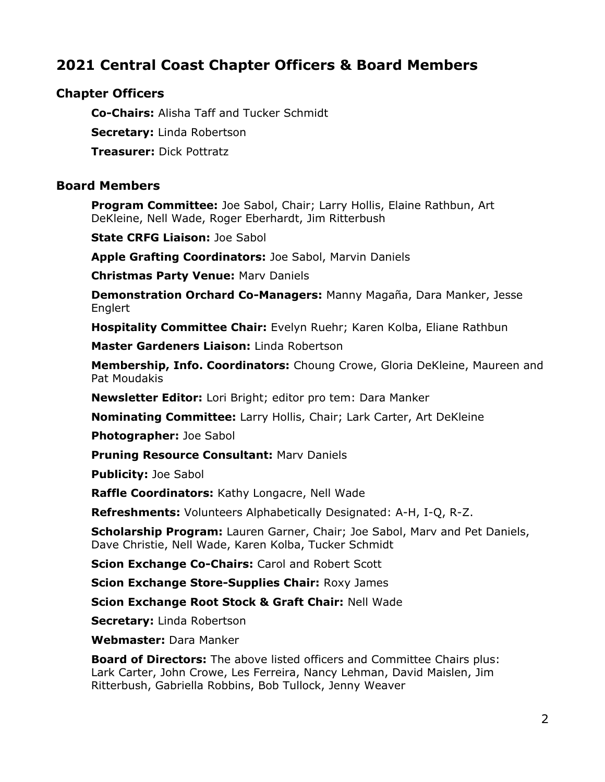# **2021 Central Coast Chapter Officers & Board Members**

#### **Chapter Officers**

**Co-Chairs:** Alisha Taff and Tucker Schmidt

**Secretary:** Linda Robertson

**Treasurer:** Dick Pottratz

#### **Board Members**

**Program Committee:** Joe Sabol, Chair; Larry Hollis, Elaine Rathbun, Art DeKleine, Nell Wade, Roger Eberhardt, Jim Ritterbush

**State CRFG Liaison:** Joe Sabol

**Apple Grafting Coordinators:** Joe Sabol, Marvin Daniels

**Christmas Party Venue:** Marv Daniels

**Demonstration Orchard Co-Managers:** Manny Magaña, Dara Manker, Jesse Englert

**Hospitality Committee Chair:** Evelyn Ruehr; Karen Kolba, Eliane Rathbun

**Master Gardeners Liaison:** Linda Robertson

**Membership, Info. Coordinators:** Choung Crowe, Gloria DeKleine, Maureen and Pat Moudakis

**Newsletter Editor:** Lori Bright; editor pro tem: Dara Manker

**Nominating Committee:** Larry Hollis, Chair; Lark Carter, Art DeKleine

**Photographer:** Joe Sabol

**Pruning Resource Consultant:** Marv Daniels

**Publicity:** Joe Sabol

**Raffle Coordinators:** Kathy Longacre, Nell Wade

**Refreshments:** Volunteers Alphabetically Designated: A-H, I-Q, R-Z.

**Scholarship Program:** Lauren Garner, Chair; Joe Sabol, Marv and Pet Daniels, Dave Christie, Nell Wade, Karen Kolba, Tucker Schmidt

**Scion Exchange Co-Chairs:** Carol and Robert Scott

**Scion Exchange Store-Supplies Chair:** Roxy James

**Scion Exchange Root Stock & Graft Chair:** Nell Wade

**Secretary:** Linda Robertson

**Webmaster:** Dara Manker

**Board of Directors:** The above listed officers and Committee Chairs plus: Lark Carter, John Crowe, Les Ferreira, Nancy Lehman, David Maislen, Jim Ritterbush, Gabriella Robbins, Bob Tullock, Jenny Weaver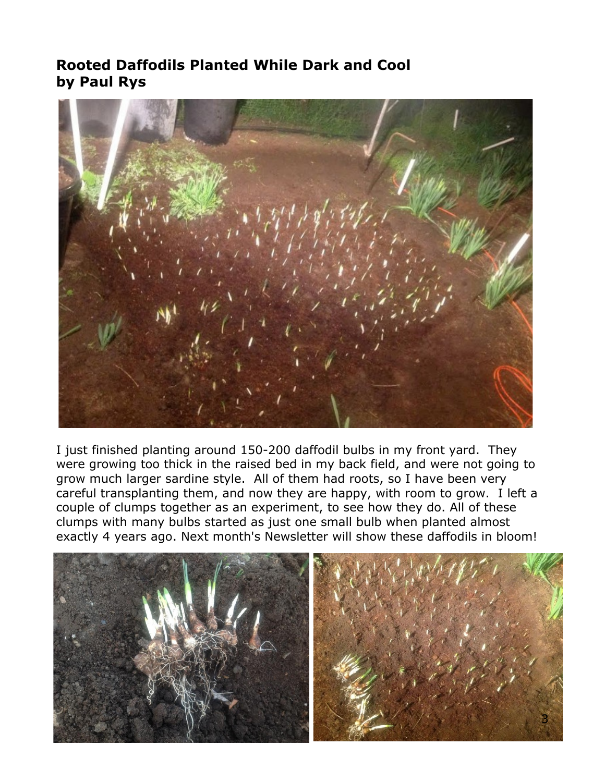# **Rooted Daffodils Planted While Dark and Cool by Paul Rys**



I just finished planting around 150-200 daffodil bulbs in my front yard. They were growing too thick in the raised bed in my back field, and were not going to grow much larger sardine style. All of them had roots, so I have been very careful transplanting them, and now they are happy, with room to grow. I left a couple of clumps together as an experiment, to see how they do. All of these clumps with many bulbs started as just one small bulb when planted almost exactly 4 years ago. Next month's Newsletter will show these daffodils in bloom!

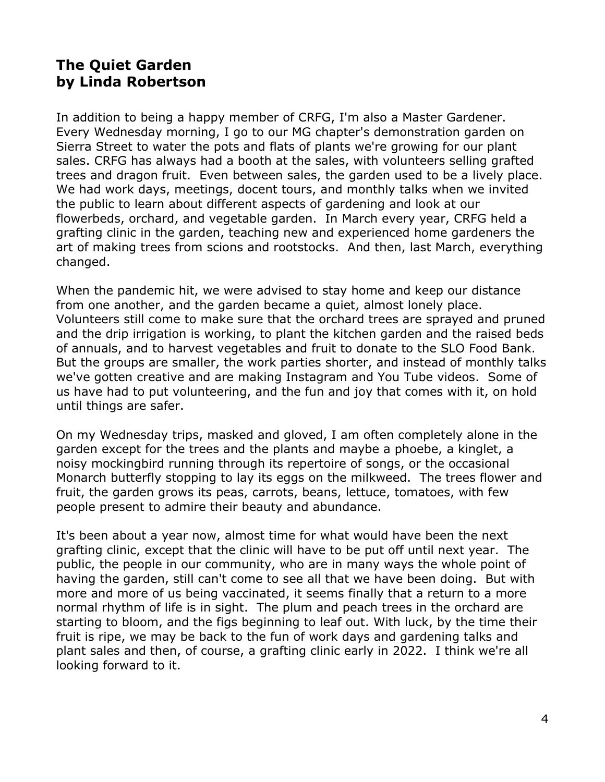## **The Quiet Garden by Linda Robertson**

In addition to being a happy member of CRFG, I'm also a Master Gardener. Every Wednesday morning, I go to our MG chapter's demonstration garden on Sierra Street to water the pots and flats of plants we're growing for our plant sales. CRFG has always had a booth at the sales, with volunteers selling grafted trees and dragon fruit. Even between sales, the garden used to be a lively place. We had work days, meetings, docent tours, and monthly talks when we invited the public to learn about different aspects of gardening and look at our flowerbeds, orchard, and vegetable garden. In March every year, CRFG held a grafting clinic in the garden, teaching new and experienced home gardeners the art of making trees from scions and rootstocks. And then, last March, everything changed.

When the pandemic hit, we were advised to stay home and keep our distance from one another, and the garden became a quiet, almost lonely place. Volunteers still come to make sure that the orchard trees are sprayed and pruned and the drip irrigation is working, to plant the kitchen garden and the raised beds of annuals, and to harvest vegetables and fruit to donate to the SLO Food Bank. But the groups are smaller, the work parties shorter, and instead of monthly talks we've gotten creative and are making Instagram and You Tube videos. Some of us have had to put volunteering, and the fun and joy that comes with it, on hold until things are safer.

On my Wednesday trips, masked and gloved, I am often completely alone in the garden except for the trees and the plants and maybe a phoebe, a kinglet, a noisy mockingbird running through its repertoire of songs, or the occasional Monarch butterfly stopping to lay its eggs on the milkweed. The trees flower and fruit, the garden grows its peas, carrots, beans, lettuce, tomatoes, with few people present to admire their beauty and abundance.

It's been about a year now, almost time for what would have been the next grafting clinic, except that the clinic will have to be put off until next year. The public, the people in our community, who are in many ways the whole point of having the garden, still can't come to see all that we have been doing. But with more and more of us being vaccinated, it seems finally that a return to a more normal rhythm of life is in sight. The plum and peach trees in the orchard are starting to bloom, and the figs beginning to leaf out. With luck, by the time their fruit is ripe, we may be back to the fun of work days and gardening talks and plant sales and then, of course, a grafting clinic early in 2022. I think we're all looking forward to it.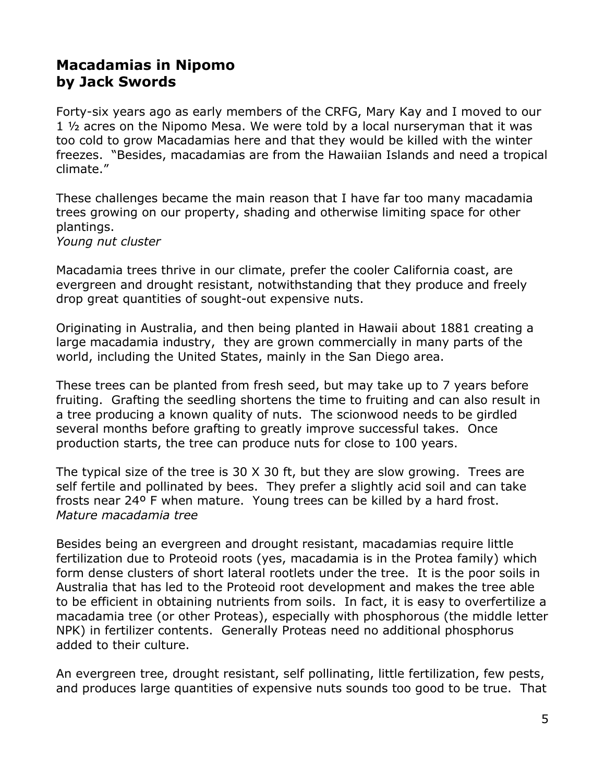# **Macadamias in Nipomo by Jack Swords**

Forty-six years ago as early members of the CRFG, Mary Kay and I moved to our 1 ½ acres on the Nipomo Mesa. We were told by a local nurseryman that it was too cold to grow Macadamias here and that they would be killed with the winter freezes. "Besides, macadamias are from the Hawaiian Islands and need a tropical climate."

These challenges became the main reason that I have far too many macadamia trees growing on our property, shading and otherwise limiting space for other plantings.

*Young nut cluster*

Macadamia trees thrive in our climate, prefer the cooler California coast, are evergreen and drought resistant, notwithstanding that they produce and freely drop great quantities of sought-out expensive nuts.

Originating in Australia, and then being planted in Hawaii about 1881 creating a large macadamia industry, they are grown commercially in many parts of the world, including the United States, mainly in the San Diego area.

These trees can be planted from fresh seed, but may take up to 7 years before fruiting. Grafting the seedling shortens the time to fruiting and can also result in a tree producing a known quality of nuts. The scionwood needs to be girdled several months before grafting to greatly improve successful takes. Once production starts, the tree can produce nuts for close to 100 years.

The typical size of the tree is 30 X 30 ft, but they are slow growing. Trees are self fertile and pollinated by bees. They prefer a slightly acid soil and can take frosts near 24º F when mature. Young trees can be killed by a hard frost. *Mature macadamia tree*

Besides being an evergreen and drought resistant, macadamias require little fertilization due to Proteoid roots (yes, macadamia is in the Protea family) which form dense clusters of short lateral rootlets under the tree. It is the poor soils in Australia that has led to the Proteoid root development and makes the tree able to be efficient in obtaining nutrients from soils. In fact, it is easy to overfertilize a macadamia tree (or other Proteas), especially with phosphorous (the middle letter NPK) in fertilizer contents. Generally Proteas need no additional phosphorus added to their culture.

An evergreen tree, drought resistant, self pollinating, little fertilization, few pests, and produces large quantities of expensive nuts sounds too good to be true. That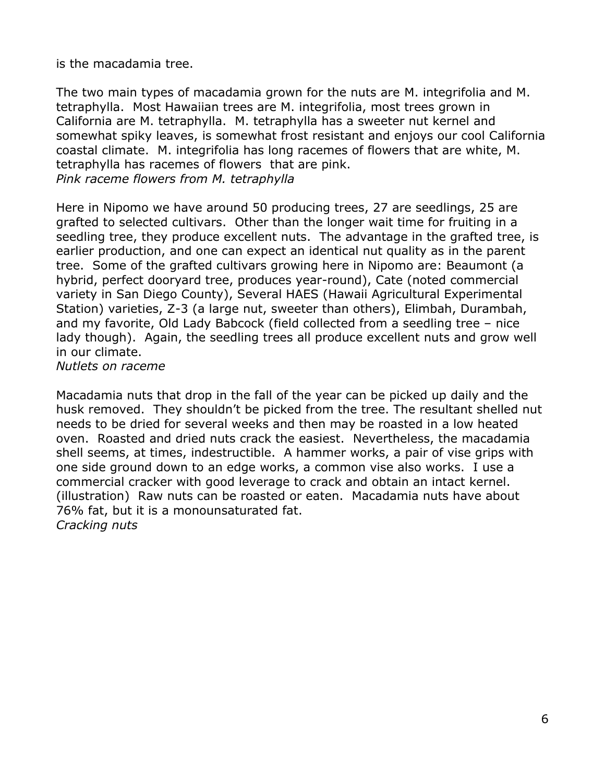is the macadamia tree.

The two main types of macadamia grown for the nuts are M. integrifolia and M. tetraphylla. Most Hawaiian trees are M. integrifolia, most trees grown in California are M. tetraphylla. M. tetraphylla has a sweeter nut kernel and somewhat spiky leaves, is somewhat frost resistant and enjoys our cool California coastal climate. M. integrifolia has long racemes of flowers that are white, M. tetraphylla has racemes of flowers that are pink. *Pink raceme flowers from M. tetraphylla*

Here in Nipomo we have around 50 producing trees, 27 are seedlings, 25 are grafted to selected cultivars. Other than the longer wait time for fruiting in a seedling tree, they produce excellent nuts. The advantage in the grafted tree, is earlier production, and one can expect an identical nut quality as in the parent tree. Some of the grafted cultivars growing here in Nipomo are: Beaumont (a hybrid, perfect dooryard tree, produces year-round), Cate (noted commercial variety in San Diego County), Several HAES (Hawaii Agricultural Experimental Station) varieties, Z-3 (a large nut, sweeter than others), Elimbah, Durambah, and my favorite, Old Lady Babcock (field collected from a seedling tree – nice lady though). Again, the seedling trees all produce excellent nuts and grow well in our climate.

*Nutlets on raceme*

Macadamia nuts that drop in the fall of the year can be picked up daily and the husk removed. They shouldn't be picked from the tree. The resultant shelled nut needs to be dried for several weeks and then may be roasted in a low heated oven. Roasted and dried nuts crack the easiest. Nevertheless, the macadamia shell seems, at times, indestructible. A hammer works, a pair of vise grips with one side ground down to an edge works, a common vise also works. I use a commercial cracker with good leverage to crack and obtain an intact kernel. (illustration) Raw nuts can be roasted or eaten. Macadamia nuts have about 76% fat, but it is a monounsaturated fat. *Cracking nuts*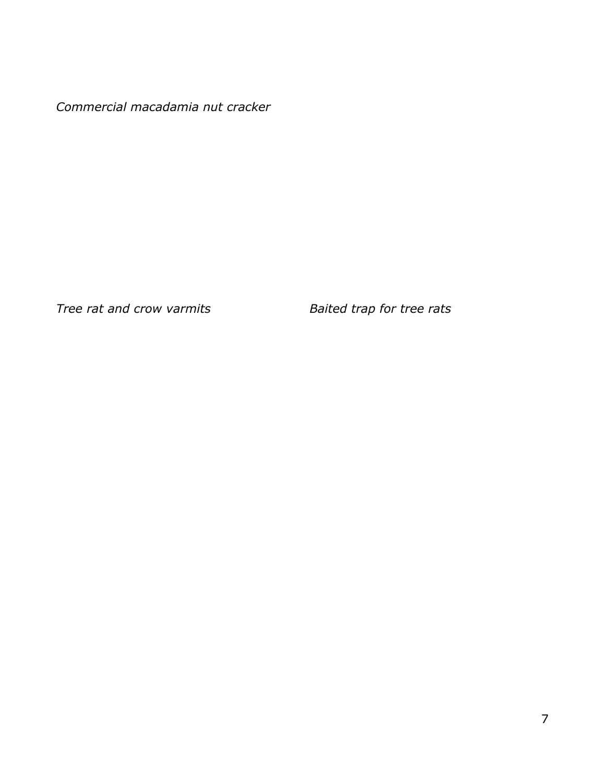*Commercial macadamia nut cracker* 

*Tree rat and crow varmits Baited trap for tree rats*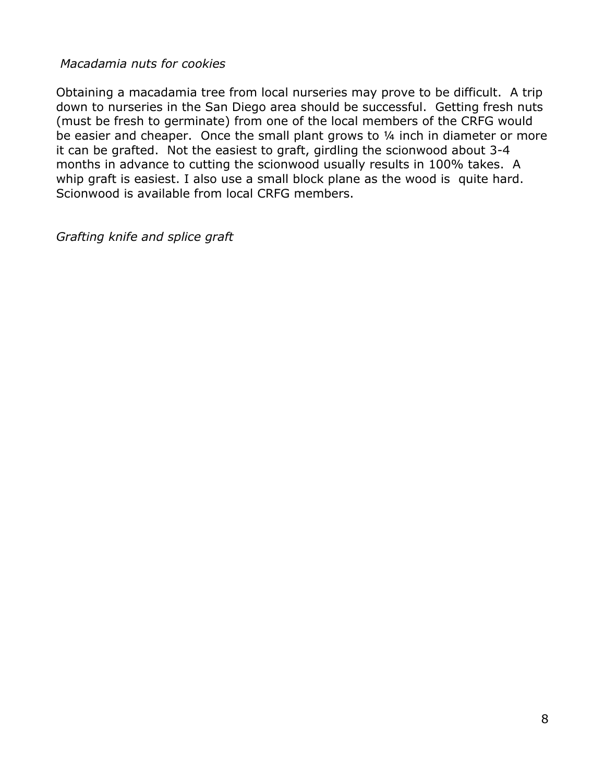#### *Macadamia nuts for cookies*

Obtaining a macadamia tree from local nurseries may prove to be difficult. A trip down to nurseries in the San Diego area should be successful. Getting fresh nuts (must be fresh to germinate) from one of the local members of the CRFG would be easier and cheaper. Once the small plant grows to ¼ inch in diameter or more it can be grafted. Not the easiest to graft, girdling the scionwood about 3-4 months in advance to cutting the scionwood usually results in 100% takes. A whip graft is easiest. I also use a small block plane as the wood is quite hard. Scionwood is available from local CRFG members.

*Grafting knife and splice graft*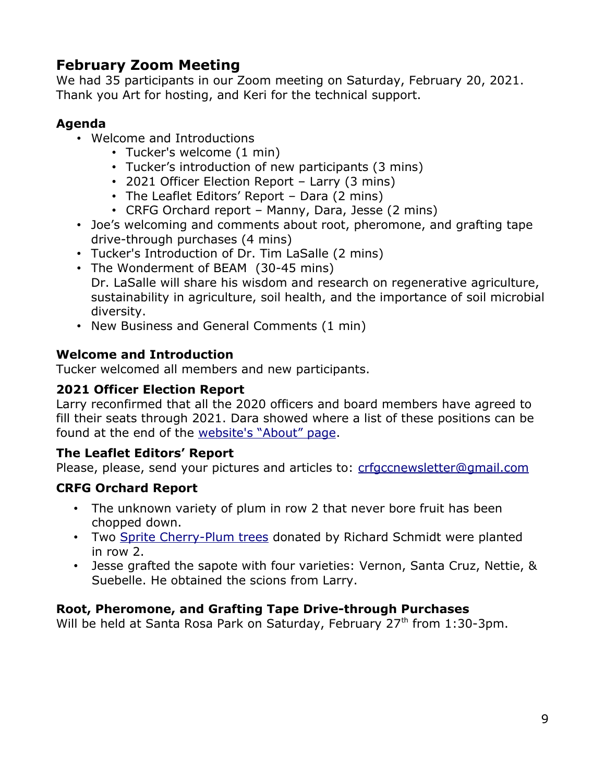# **February Zoom Meeting**

We had 35 participants in our Zoom meeting on Saturday, February 20, 2021. Thank you Art for hosting, and Keri for the technical support.

#### **Agenda**

- Welcome and Introductions
	- Tucker's welcome (1 min)
	- Tucker's introduction of new participants (3 mins)
	- 2021 Officer Election Report Larry (3 mins)
	- The Leaflet Editors' Report Dara (2 mins)
	- CRFG Orchard report Manny, Dara, Jesse (2 mins)
- Joe's welcoming and comments about root, pheromone, and grafting tape drive-through purchases (4 mins)
- Tucker's Introduction of Dr. Tim LaSalle (2 mins)
- The Wonderment of BEAM (30-45 mins) Dr. LaSalle will share his wisdom and research on regenerative agriculture, sustainability in agriculture, soil health, and the importance of soil microbial diversity.
- New Business and General Comments (1 min)

### **Welcome and Introduction**

Tucker welcomed all members and new participants.

#### **2021 Officer Election Report**

Larry reconfirmed that all the 2020 officers and board members have agreed to fill their seats through 2021. Dara showed where a list of these positions can be found at the end of the [website's "About" page](https://www.crfg-central.org/about).

#### **The Leaflet Editors' Report**

Please, please, send your pictures and articles to: [crfgccnewsletter@gmail.com](mailto:crfgccnewsletter@gmail.com)

### **CRFG Orchard Report**

- The unknown variety of plum in row 2 that never bore fruit has been chopped down.
- Two [Sprite Cherry-Plum trees](https://www.davewilson.com/product-information/product/sprite-cherry-plum-interspecific-plum) donated by Richard Schmidt were planted in row 2.
- Jesse grafted the sapote with four varieties: Vernon, Santa Cruz, Nettie, & Suebelle. He obtained the scions from Larry.

### **Root, Pheromone, and Grafting Tape Drive-through Purchases**

Will be held at Santa Rosa Park on Saturday, February 27<sup>th</sup> from 1:30-3pm.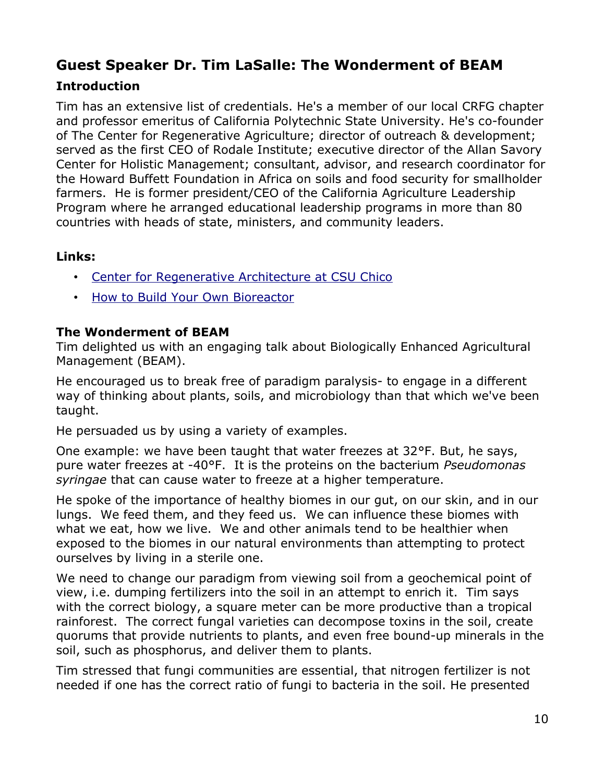# **Guest Speaker Dr. Tim LaSalle: The Wonderment of BEAM**

### **Introduction**

Tim has an extensive list of credentials. He's a member of our local CRFG chapter and professor emeritus of California Polytechnic State University. He's co-founder of The Center for Regenerative Agriculture; director of outreach & development; served as the first CEO of Rodale Institute; executive director of the Allan Savory Center for Holistic Management; consultant, advisor, and research coordinator for the Howard Buffett Foundation in Africa on soils and food security for smallholder farmers. He is former president/CEO of the California Agriculture Leadership Program where he arranged educational leadership programs in more than 80 countries with heads of state, ministers, and community leaders.

#### **Links:**

- • [Center for Regenerative Architecture at CSU Chico](https://www.csuchico.edu/regenerativeagriculture/)
- [How to Build Your Own Bioreactor](https://www.csuchico.edu/regenerativeagriculture/bioreactor/bioreactor-instructions.shtml)

#### **The Wonderment of BEAM**

Tim delighted us with an engaging talk about Biologically Enhanced Agricultural Management (BEAM).

He encouraged us to break free of paradigm paralysis- to engage in a different way of thinking about plants, soils, and microbiology than that which we've been taught.

He persuaded us by using a variety of examples.

One example: we have been taught that water freezes at 32°F. But, he says, pure water freezes at -40°F. It is the proteins on the bacterium *Pseudomonas syringae* that can cause water to freeze at a higher temperature.

He spoke of the importance of healthy biomes in our gut, on our skin, and in our lungs. We feed them, and they feed us. We can influence these biomes with what we eat, how we live. We and other animals tend to be healthier when exposed to the biomes in our natural environments than attempting to protect ourselves by living in a sterile one.

We need to change our paradigm from viewing soil from a geochemical point of view, i.e. dumping fertilizers into the soil in an attempt to enrich it. Tim says with the correct biology, a square meter can be more productive than a tropical rainforest. The correct fungal varieties can decompose toxins in the soil, create quorums that provide nutrients to plants, and even free bound-up minerals in the soil, such as phosphorus, and deliver them to plants.

Tim stressed that fungi communities are essential, that nitrogen fertilizer is not needed if one has the correct ratio of fungi to bacteria in the soil. He presented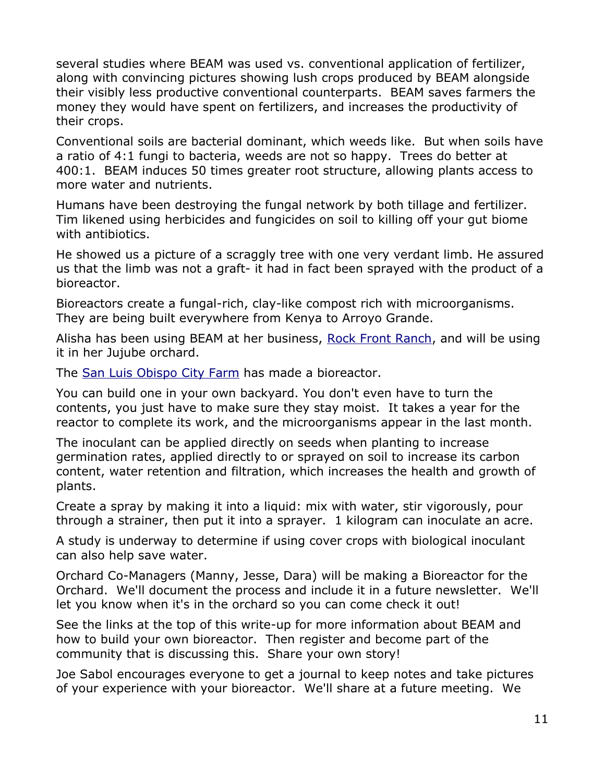several studies where BEAM was used vs. conventional application of fertilizer, along with convincing pictures showing lush crops produced by BEAM alongside their visibly less productive conventional counterparts. BEAM saves farmers the money they would have spent on fertilizers, and increases the productivity of their crops.

Conventional soils are bacterial dominant, which weeds like. But when soils have a ratio of 4:1 fungi to bacteria, weeds are not so happy. Trees do better at 400:1. BEAM induces 50 times greater root structure, allowing plants access to more water and nutrients.

Humans have been destroying the fungal network by both tillage and fertilizer. Tim likened using herbicides and fungicides on soil to killing off your gut biome with antibiotics.

He showed us a picture of a scraggly tree with one very verdant limb. He assured us that the limb was not a graft- it had in fact been sprayed with the product of a bioreactor.

Bioreactors create a fungal-rich, clay-like compost rich with microorganisms. They are being built everywhere from Kenya to Arroyo Grande.

Alisha has been using BEAM at her business, [Rock Front Ranch](https://www.facebook.com/honeyjujubes/), and will be using it in her Jujube orchard.

The [San Luis Obispo City Farm](https://www.cityfarmslo.org/) has made a bioreactor.

You can build one in your own backyard. You don't even have to turn the contents, you just have to make sure they stay moist. It takes a year for the reactor to complete its work, and the microorganisms appear in the last month.

The inoculant can be applied directly on seeds when planting to increase germination rates, applied directly to or sprayed on soil to increase its carbon content, water retention and filtration, which increases the health and growth of plants.

Create a spray by making it into a liquid: mix with water, stir vigorously, pour through a strainer, then put it into a sprayer. 1 kilogram can inoculate an acre.

A study is underway to determine if using cover crops with biological inoculant can also help save water.

Orchard Co-Managers (Manny, Jesse, Dara) will be making a Bioreactor for the Orchard. We'll document the process and include it in a future newsletter. We'll let you know when it's in the orchard so you can come check it out!

See the links at the top of this write-up for more information about BEAM and how to build your own bioreactor. Then register and become part of the community that is discussing this. Share your own story!

Joe Sabol encourages everyone to get a journal to keep notes and take pictures of your experience with your bioreactor. We'll share at a future meeting. We